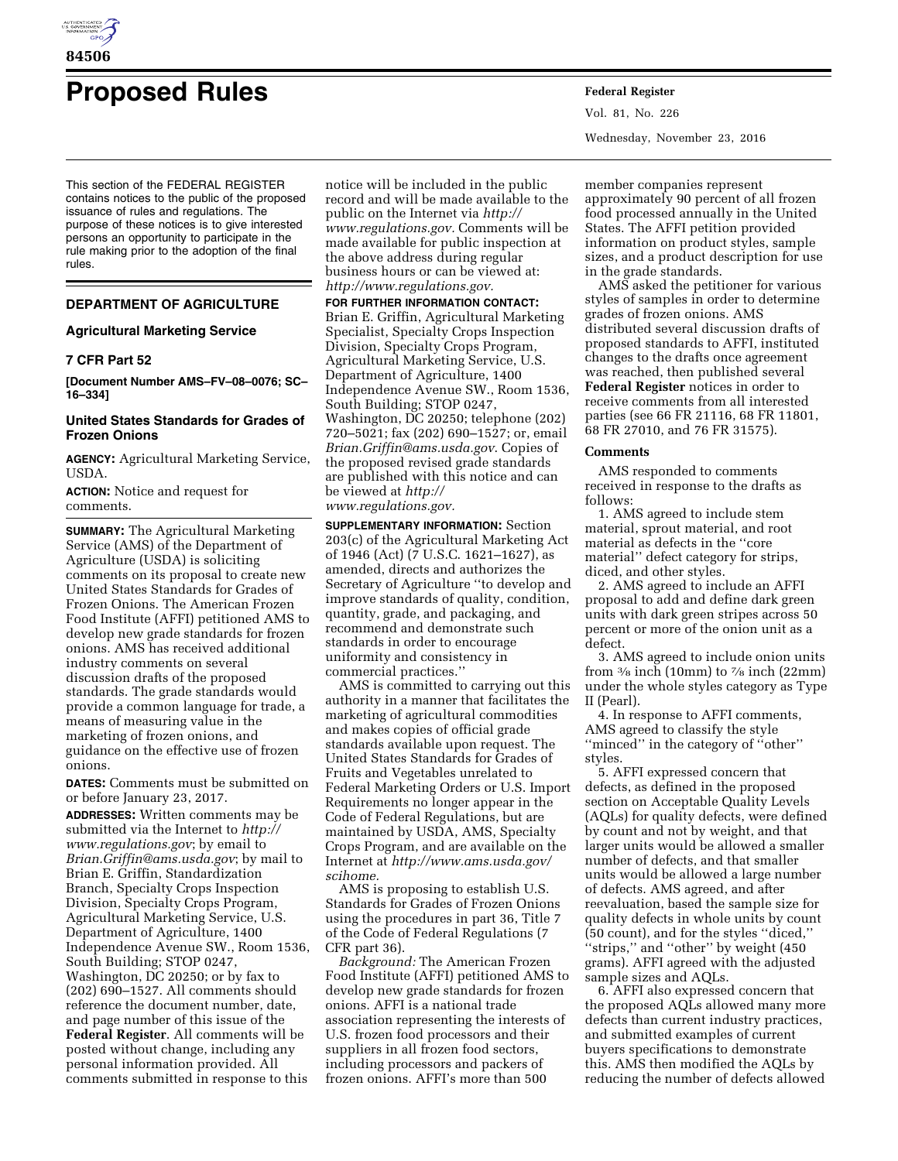

# **Proposed Rules Federal Register**

This section of the FEDERAL REGISTER contains notices to the public of the proposed issuance of rules and regulations. The purpose of these notices is to give interested persons an opportunity to participate in the rule making prior to the adoption of the final rules.

## **DEPARTMENT OF AGRICULTURE**

## **Agricultural Marketing Service**

## **7 CFR Part 52**

**[Document Number AMS–FV–08–0076; SC– 16–334]** 

## **United States Standards for Grades of Frozen Onions**

**AGENCY:** Agricultural Marketing Service, USDA.

**ACTION:** Notice and request for comments.

**SUMMARY:** The Agricultural Marketing Service (AMS) of the Department of Agriculture (USDA) is soliciting comments on its proposal to create new United States Standards for Grades of Frozen Onions. The American Frozen Food Institute (AFFI) petitioned AMS to develop new grade standards for frozen onions. AMS has received additional industry comments on several discussion drafts of the proposed standards. The grade standards would provide a common language for trade, a means of measuring value in the marketing of frozen onions, and guidance on the effective use of frozen onions.

**DATES:** Comments must be submitted on or before January 23, 2017.

**ADDRESSES:** Written comments may be submitted via the Internet to *[http://](http://www.regulations.gov) [www.regulations.gov](http://www.regulations.gov)*; by email to *[Brian.Griffin@ams.usda.gov](mailto:Brian.Griffin@ams.usda.gov)*; by mail to Brian E. Griffin, Standardization Branch, Specialty Crops Inspection Division, Specialty Crops Program, Agricultural Marketing Service, U.S. Department of Agriculture, 1400 Independence Avenue SW., Room 1536, South Building; STOP 0247, Washington, DC 20250; or by fax to (202) 690–1527. All comments should reference the document number, date, and page number of this issue of the **Federal Register**. All comments will be posted without change, including any personal information provided. All comments submitted in response to this

notice will be included in the public record and will be made available to the public on the Internet via *[http://](http://www.regulations.gov)  [www.regulations.gov.](http://www.regulations.gov)* Comments will be made available for public inspection at the above address during regular business hours or can be viewed at: *[http://www.regulations.gov.](http://www.regulations.gov)* 

**FOR FURTHER INFORMATION CONTACT:**  Brian E. Griffin, Agricultural Marketing Specialist, Specialty Crops Inspection Division, Specialty Crops Program, Agricultural Marketing Service, U.S. Department of Agriculture, 1400 Independence Avenue SW., Room 1536, South Building; STOP 0247, Washington, DC 20250; telephone (202) 720–5021; fax (202) 690–1527; or, email *[Brian.Griffin@ams.usda.gov](mailto:Brian.Griffin@ams.usda.gov)*. Copies of the proposed revised grade standards are published with this notice and can be viewed at *[http://](http://www.regulations.gov)  [www.regulations.gov.](http://www.regulations.gov)* 

**SUPPLEMENTARY INFORMATION:** Section 203(c) of the Agricultural Marketing Act of 1946 (Act) (7 U.S.C. 1621–1627), as amended, directs and authorizes the Secretary of Agriculture ''to develop and improve standards of quality, condition, quantity, grade, and packaging, and recommend and demonstrate such standards in order to encourage uniformity and consistency in commercial practices.''

AMS is committed to carrying out this authority in a manner that facilitates the marketing of agricultural commodities and makes copies of official grade standards available upon request. The United States Standards for Grades of Fruits and Vegetables unrelated to Federal Marketing Orders or U.S. Import Requirements no longer appear in the Code of Federal Regulations, but are maintained by USDA, AMS, Specialty Crops Program, and are available on the Internet at *[http://www.ams.usda.gov/](http://www.ams.usda.gov/scihome) [scihome.](http://www.ams.usda.gov/scihome)* 

AMS is proposing to establish U.S. Standards for Grades of Frozen Onions using the procedures in part 36, Title 7 of the Code of Federal Regulations (7 CFR part 36).

*Background:* The American Frozen Food Institute (AFFI) petitioned AMS to develop new grade standards for frozen onions. AFFI is a national trade association representing the interests of U.S. frozen food processors and their suppliers in all frozen food sectors, including processors and packers of frozen onions. AFFI's more than 500

Vol. 81, No. 226 Wednesday, November 23, 2016

member companies represent approximately 90 percent of all frozen food processed annually in the United States. The AFFI petition provided information on product styles, sample sizes, and a product description for use in the grade standards.

AMS asked the petitioner for various styles of samples in order to determine grades of frozen onions. AMS distributed several discussion drafts of proposed standards to AFFI, instituted changes to the drafts once agreement was reached, then published several **Federal Register** notices in order to receive comments from all interested parties (see 66 FR 21116, 68 FR 11801, 68 FR 27010, and 76 FR 31575).

#### **Comments**

AMS responded to comments received in response to the drafts as follows:

1. AMS agreed to include stem material, sprout material, and root material as defects in the ''core material'' defect category for strips, diced, and other styles.

2. AMS agreed to include an AFFI proposal to add and define dark green units with dark green stripes across 50 percent or more of the onion unit as a defect.

3. AMS agreed to include onion units from  $\frac{3}{8}$  inch (10mm) to  $\frac{7}{8}$  inch (22mm) under the whole styles category as Type II (Pearl).

4. In response to AFFI comments, AMS agreed to classify the style ''minced'' in the category of ''other'' styles.

5. AFFI expressed concern that defects, as defined in the proposed section on Acceptable Quality Levels (AQLs) for quality defects, were defined by count and not by weight, and that larger units would be allowed a smaller number of defects, and that smaller units would be allowed a large number of defects. AMS agreed, and after reevaluation, based the sample size for quality defects in whole units by count (50 count), and for the styles ''diced,'' ''strips,'' and ''other'' by weight (450 grams). AFFI agreed with the adjusted sample sizes and AQLs.

6. AFFI also expressed concern that the proposed AQLs allowed many more defects than current industry practices, and submitted examples of current buyers specifications to demonstrate this. AMS then modified the AQLs by reducing the number of defects allowed